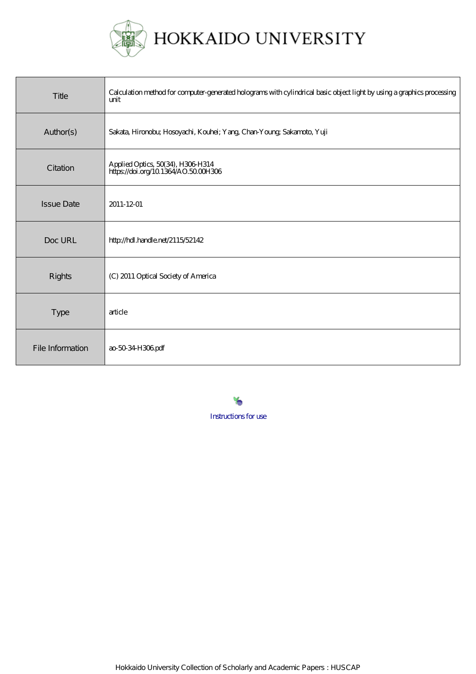

| Title             | Calculation method for computer-generated holograms with cylindrical basic object light by using a graphics processing<br>unit |
|-------------------|--------------------------------------------------------------------------------------------------------------------------------|
| Author(s)         | Sakata, Hironobu; Hosoyachi, Kouhei; Yang, Chan-Young; Sakamoto, Yuji                                                          |
| Citation          | Applied Optics, 50(34), H306 H314<br>https://doi.org/10.1364/AO.5000H306                                                       |
| <b>Issue Date</b> | 2011-12-01                                                                                                                     |
| Doc URL           | http://hdl.handle.net/2115/52142                                                                                               |
| <b>Rights</b>     | (C) 2011 Optical Society of America                                                                                            |
| <b>Type</b>       | article                                                                                                                        |
| File Information  | ao 50 34 H306 pdf                                                                                                              |

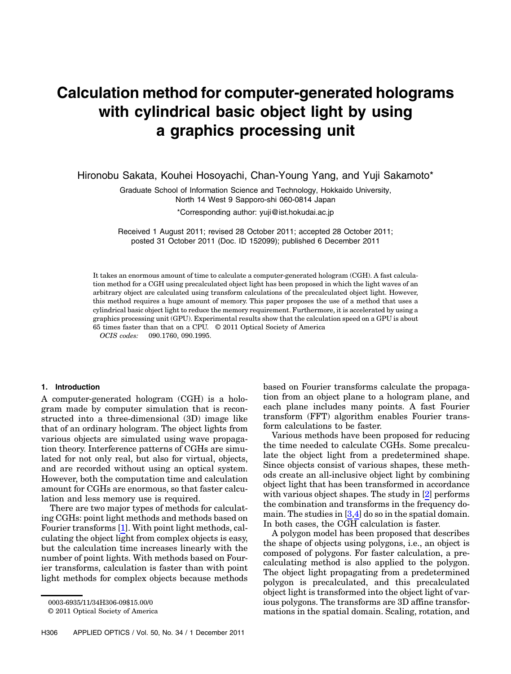# Calculation method for computer-generated holograms with cylindrical basic object light by using a graphics processing unit

Hironobu Sakata, Kouhei Hosoyachi, Chan-Young Yang, and Yuji Sakamoto\*

Graduate School of Information Science and Technology, Hokkaido University, North 14 West 9 Sapporo-shi 060-0814 Japan

\*Corresponding author: yuji@ist.hokudai.ac.jp

Received 1 August 2011; revised 28 October 2011; accepted 28 October 2011; posted 31 October 2011 (Doc. ID 152099); published 6 December 2011

It takes an enormous amount of time to calculate a computer-generated hologram (CGH). A fast calculation method for a CGH using precalculated object light has been proposed in which the light waves of an arbitrary object are calculated using transform calculations of the precalculated object light. However, this method requires a huge amount of memory. This paper proposes the use of a method that uses a cylindrical basic object light to reduce the memory requirement. Furthermore, it is accelerated by using a graphics processing unit (GPU). Experimental results show that the calculation speed on a GPU is about 65 times faster than that on a CPU. © 2011 Optical Society of America

OCIS codes: 090.1760, 090.1995.

#### 1. Introduction

A computer-generated hologram (CGH) is a hologram made by computer simulation that is reconstructed into a three-dimensional (3D) image like that of an ordinary hologram. The object lights from various objects are simulated using wave propagation theory. Interference patterns of CGHs are simulated for not only real, but also for virtual, objects, and are recorded without using an optical system. However, both the computation time and calculation amount for CGHs are enormous, so that faster calculation and less memory use is required.

There are two major types of methods for calculating CGHs: point light methods and methods based on Fourier transforms [\[1\]](#page-9-0). With point light methods, calculating the object light from complex objects is easy, but the calculation time increases linearly with the number of point lights. With methods based on Fourier transforms, calculation is faster than with point light methods for complex objects because methods

© 2011 Optical Society of America

based on Fourier transforms calculate the propagation from an object plane to a hologram plane, and each plane includes many points. A fast Fourier transform (FFT) algorithm enables Fourier transform calculations to be faster.

Various methods have been proposed for reducing the time needed to calculate CGHs. Some precalculate the object light from a predetermined shape. Since objects consist of various shapes, these methods create an all-inclusive object light by combining object light that has been transformed in accordance with various object shapes. The study in [[2](#page-9-1)] performs the combination and transforms in the frequency domain. The studies in [[3](#page-9-2),[4](#page-9-3)] do so in the spatial domain. In both cases, the CGH calculation is faster.

A polygon model has been proposed that describes the shape of objects using polygons, i.e., an object is composed of polygons. For faster calculation, a precalculating method is also applied to the polygon. The object light propagating from a predetermined polygon is precalculated, and this precalculated object light is transformed into the object light of various polygons. The transforms are 3D affine transformations in the spatial domain. Scaling, rotation, and

<sup>0003-6935/11/34</sup>H306-09\$15.00/0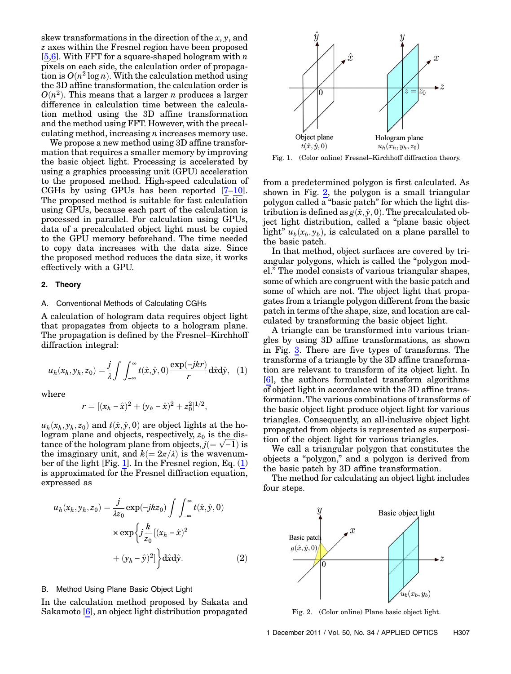skew transformations in the direction of the  $x, y$ , and z axes within the Fresnel region have been proposed [\[5,](#page-9-4)[6](#page-9-5)]. With FFT for a square-shaped hologram with  $n$ pixels on each side, the calculation order of propagation is  $O(n^2 \log n)$ . With the calculation method using the 3D affine transformation, the calculation order is  $O(n^2)$ . This means that a larger *n* produces a larger difference in calculation time between the calculation method using the 3D affine transformation and the method using FFT. However, with the precalculating method, increasing  $n$  increases memory use.

We propose a new method using 3D affine transformation that requires a smaller memory by improving the basic object light. Processing is accelerated by using a graphics processing unit (GPU) acceleration to the proposed method. High-speed calculation of CGHs by using GPUs has been reported [[7](#page-9-6)–[10](#page-9-7)]. The proposed method is suitable for fast calculation using GPUs, because each part of the calculation is processed in parallel. For calculation using GPUs, data of a precalculated object light must be copied to the GPU memory beforehand. The time needed to copy data increases with the data size. Since the proposed method reduces the data size, it works effectively with a GPU.

#### 2. Theory

#### A. Conventional Methods of Calculating CGHs

<span id="page-2-1"></span>A calculation of hologram data requires object light that propagates from objects to a hologram plane. The propagation is defined by the Fresnel–Kirchhoff diffraction integral:

$$
u_h(x_h, y_h, z_0) = \frac{j}{\lambda} \int \int_{-\infty}^{\infty} t(\hat{x}, \hat{y}, 0) \frac{\exp(-jkr)}{r} d\hat{x} d\hat{y}, \quad (1)
$$

where

$$
r = [(x_h - \hat{x})^2 + (y_h - \hat{x})^2 + z_0^2]^{1/2},
$$

 $u_h(x_h, y_h, z_0)$  and  $t(\hat{x}, \hat{y}, 0)$  are object lights at the hologram plane and objects, respectively,  $z_0$  is the distance of the hologram plane from objects,  $j (= \sqrt{-1})$  is the imaginary unit, and  $k(=2\pi/\lambda)$  is the wavenumber of the light [Fig. [1](#page-2-0)]. In the Fresnel region, Eq. [\(1\)](#page-2-1) is approximated for the Fresnel diffraction equation, expressed as

<span id="page-2-4"></span>
$$
u_h(x_h, y_h, z_0) = \frac{j}{\lambda z_0} \exp(-jkz_0) \int \int_{-\infty}^{\infty} t(\hat{x}, \hat{y}, 0)
$$

$$
\times \exp\left\{ j \frac{k}{z_0} [(x_h - \hat{x})^2 + (y_h - \hat{y})^2] \right\} d\hat{x} d\hat{y}.
$$
(2)

# <span id="page-2-3"></span>B. Method Using Plane Basic Object Light

In the calculation method proposed by Sakata and Sakamoto [\[6\]](#page-9-5), an object light distribution propagated

<span id="page-2-0"></span>

from a predetermined polygon is first calculated. As shown in Fig. [2,](#page-2-2) the polygon is a small triangular polygon called a "basic patch" for which the light distribution is defined as  $g(\hat{x}, \hat{y}, 0)$ . The precalculated object light distribution, called a "plane basic object light"  $u_b(x_b, y_b)$ , is calculated on a plane parallel to the basic patch.

In that method, object surfaces are covered by triangular polygons, which is called the "polygon model." The model consists of various triangular shapes, some of which are congruent with the basic patch and some of which are not. The object light that propagates from a triangle polygon different from the basic patch in terms of the shape, size, and location are calculated by transforming the basic object light.

A triangle can be transformed into various triangles by using 3D affine transformations, as shown in Fig. [3.](#page-3-0) There are five types of transforms. The transforms of a triangle by the 3D affine transformation are relevant to transform of its object light. In [\[6\]](#page-9-5), the authors formulated transform algorithms of object light in accordance with the 3D affine transformation. The various combinations of transforms of the basic object light produce object light for various triangles. Consequently, an all-inclusive object light propagated from objects is represented as superposition of the object light for various triangles.

We call a triangular polygon that constitutes the objects a "polygon," and a polygon is derived from the basic patch by 3D affine transformation.

The method for calculating an object light includes four steps.

<span id="page-2-2"></span>

Fig. 2. (Color online) Plane basic object light.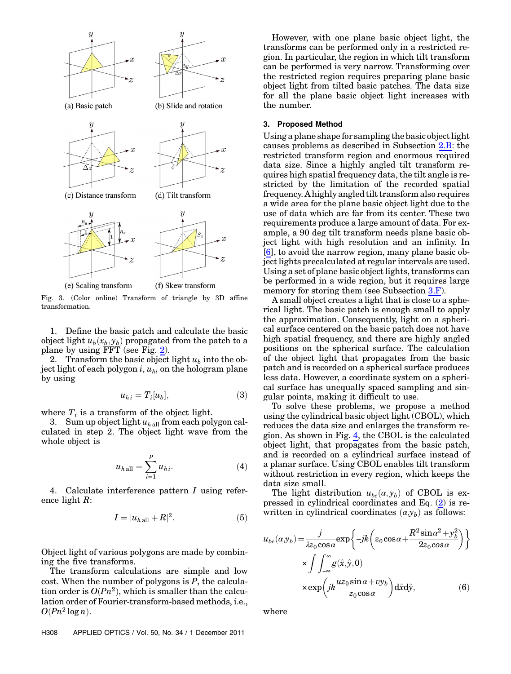<span id="page-3-0"></span>

Fig. 3. (Color online) Transform of triangle by 3D affine transformation.

1. Define the basic patch and calculate the basic object light  $u_b(x_b,y_b)$  propagated from the patch to a plane by using FFT (see Fig. [2](#page-2-2)).

2. Transform the basic object light  $u_b$  into the object light of each polygon  $i, u_{hi}$  on the hologram plane by using

$$
u_{hi} = T_i[u_b],\tag{3}
$$

where  $T_i$  is a transform of the object light.

3. Sum up object light  $u_{h}$ <sub>all</sub> from each polygon calculated in step 2. The object light wave from the whole object is

$$
u_{h \text{ all}} = \sum_{i=1}^{P} u_{hi}. \tag{4}
$$

4. Calculate interference pattern I using reference light R:

$$
I = |u_{h\,\text{all}} + R|^2. \tag{5}
$$

Object light of various polygons are made by combining the five transforms.

The transform calculations are simple and low cost. When the number of polygons is  $P$ , the calculation order is  $O(Pn^2)$ , which is smaller than the calculation order of Fourier-transform-based methods, i.e.,  $O(Pn^2 \log n)$ .

However, with one plane basic object light, the transforms can be performed only in a restricted region. In particular, the region in which tilt transform can be performed is very narrow. Transforming over the restricted region requires preparing plane basic object light from tilted basic patches. The data size for all the plane basic object light increases with the number.

## 3. Proposed Method

Using a plane shape for sampling the basic object light causes problems as described in Subsection [2.B](#page-2-3): the restricted transform region and enormous required data size. Since a highly angled tilt transform requires high spatial frequency data, the tilt angle is restricted by the limitation of the recorded spatial frequency. A highly angled tilt transform also requires a wide area for the plane basic object light due to the use of data which are far from its center. These two requirements produce a large amount of data. For example, a 90 deg tilt transform needs plane basic object light with high resolution and an infinity. In [\[6\]](#page-9-5), to avoid the narrow region, many plane basic object lights precalculated at regular intervals are used. Using a set of plane basic object lights, transforms can be performed in a wide region, but it requires large memory for storing them (see Subsection [3.F\)](#page-5-0).

A small object creates a light that is close to a spherical light. The basic patch is enough small to apply the approximation. Consequently, light on a spherical surface centered on the basic patch does not have high spatial frequency, and there are highly angled positions on the spherical surface. The calculation of the object light that propagates from the basic patch and is recorded on a spherical surface produces less data. However, a coordinate system on a spherical surface has unequally spaced sampling and singular points, making it difficult to use.

To solve these problems, we propose a method using the cylindrical basic object light (CBOL), which reduces the data size and enlarges the transform region. As shown in Fig. [4](#page-4-0), the CBOL is the calculated object light, that propagates from the basic patch, and is recorded on a cylindrical surface instead of a planar surface. Using CBOL enables tilt transform without restriction in every region, which keeps the data size small.

<span id="page-3-1"></span>The light distribution  $u_{bc}(a, y_b)$  of CBOL is expressed in cylindrical coordinates and Eq. [\(2\)](#page-2-4) is rewritten in cylindrical coordinates  $(\alpha, y_b)$  as follows:

$$
u_{bc}(\alpha y_b) = \frac{j}{\lambda z_0 \cos \alpha} \exp\left\{-jk \left(z_0 \cos \alpha + \frac{R^2 \sin \alpha^2 + y_b^2}{2z_0 \cos \alpha}\right)\right\}
$$

$$
\times \int \int_{-\infty}^{\infty} g(\hat{x}, \hat{y}, 0)
$$

$$
\times \exp\left(jk \frac{uz_0 \sin \alpha + vy_b}{z_0 \cos \alpha}\right) d\hat{x} d\hat{y},
$$
(6)

where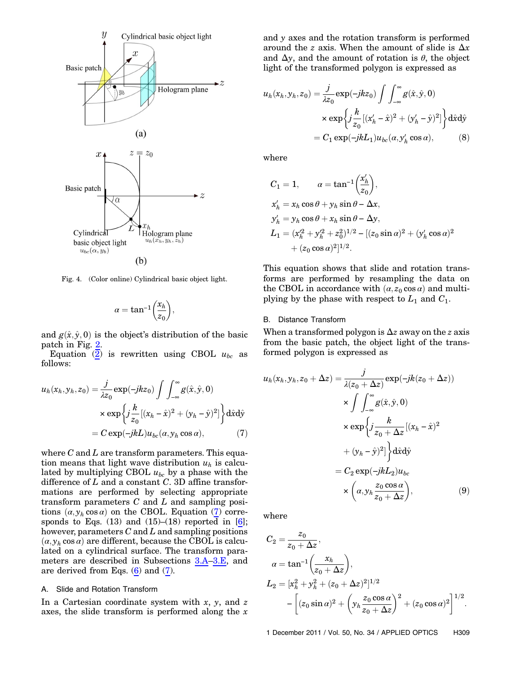<span id="page-4-0"></span>

Fig. 4. (Color online) Cylindrical basic object light.

$$
\alpha = \tan^{-1}\left(\frac{x_h}{z_0}\right),
$$

and  $g(\hat{x}, \hat{y}, 0)$  is the object's distribution of the basic patch in Fig. [2](#page-2-2).

<span id="page-4-1"></span>Equation [\(2\)](#page-2-4) is rewritten using CBOL  $u_{bc}$  as follows:

$$
u_h(x_h, y_h, z_0) = \frac{j}{\lambda z_0} \exp(-jkz_0) \int \int_{-\infty}^{\infty} g(\hat{x}, \hat{y}, 0)
$$

$$
\times \exp\left\{ j \frac{k}{z_0} [(x_h - \hat{x})^2 + (y_h - \hat{y})^2] \right\} d\hat{x} d\hat{y}
$$

$$
= C \exp(-jkL) u_{bc}(\alpha, y_h \cos \alpha), \tag{7}
$$

where  $C$  and  $L$  are transform parameters. This equation means that light wave distribution  $u<sub>h</sub>$  is calculated by multiplying CBOL  $u_{bc}$  by a phase with the difference of  $L$  and a constant  $C$ . 3D affine transformations are performed by selecting appropriate transform parameters  $C$  and  $L$  and sampling positions  $(\alpha, y_h \cos \alpha)$  on the CBOL. Equation ([7](#page-4-1)) corresponds to Eqs.  $(13)$  and  $(15)$ – $(18)$  reported in [[6](#page-9-5)]; however, parameters  $C$  and  $L$  and sampling positions  $(\alpha, y_h \cos \alpha)$  are different, because the CBOL is calculated on a cylindrical surface. The transform parameters are described in Subsections [3.A](#page-4-2)–[3.E](#page-5-1), and are derived from Eqs. ([6](#page-3-1)) and [\(7\)](#page-4-1).

#### <span id="page-4-2"></span>A. Slide and Rotation Transform

In a Cartesian coordinate system with  $x$ ,  $y$ , and  $z$ axes, the slide transform is performed along the  $x$ 

and y axes and the rotation transform is performed around the *z* axis. When the amount of slide is  $\Delta x$ and  $\Delta y$ , and the amount of rotation is  $\theta$ , the object light of the transformed polygon is expressed as

$$
u_h(x_h, y_h, z_0) = \frac{j}{\lambda z_0} \exp(-jkz_0) \int \int_{-\infty}^{\infty} g(\hat{x}, \hat{y}, 0)
$$

$$
\times \exp\left\{ j\frac{k}{z_0} [(x_h' - \hat{x})^2 + (y_h' - \hat{y})^2] \right\} d\hat{x} d\hat{y}
$$

$$
= C_1 \exp(-jkL_1) u_{bc}(\alpha, y_h' \cos \alpha), \tag{8}
$$

where

$$
C_1 = 1, \qquad \alpha = \tan^{-1} \left( \frac{x'_h}{z_0} \right),
$$
  
\n
$$
x'_h = x_h \cos \theta + y_h \sin \theta - \Delta x,
$$
  
\n
$$
y'_h = y_h \cos \theta + x_h \sin \theta - \Delta y,
$$
  
\n
$$
L_1 = (x_h^2 + y_h^2 + z_0^2)^{1/2} - [(z_0 \sin \alpha)^2 + (y'_h \cos \alpha)^2 + (z_0 \cos \alpha)^2]^{1/2}.
$$

This equation shows that slide and rotation transforms are performed by resampling the data on the CBOL in accordance with  $(\alpha, z_0 \cos \alpha)$  and multiplying by the phase with respect to  $L_1$  and  $C_1$ .

## B. Distance Transform

When a transformed polygon is  $\Delta z$  away on the z axis from the basic patch, the object light of the transformed polygon is expressed as

$$
u_h(x_h, y_h, z_0 + \Delta z) = \frac{j}{\lambda(z_0 + \Delta z)} \exp(-jk(z_0 + \Delta z))
$$
  
\n
$$
\times \int \int_{-\infty}^{\infty} g(\hat{x}, \hat{y}, 0)
$$
  
\n
$$
\times \exp\left\{j\frac{k}{z_0 + \Delta z}[(x_h - \hat{x})^2 + (y_h - \hat{y})^2]\right\} d\hat{x} d\hat{y}
$$
  
\n
$$
= C_2 \exp(-jkL_2)u_{bc}
$$
  
\n
$$
\times \left(\alpha, y_h \frac{z_0 \cos \alpha}{z_0 + \Delta z}\right),
$$
 (9)

where

$$
C_2 = \frac{z_0}{z_0 + \Delta z},
$$
  
\n
$$
\alpha = \tan^{-1} \left( \frac{x_h}{z_0 + \Delta z} \right),
$$
  
\n
$$
L_2 = [x_h^2 + y_h^2 + (z_0 + \Delta z)^2]^{1/2}
$$
  
\n
$$
- \left[ (z_0 \sin \alpha)^2 + \left( y_h \frac{z_0 \cos \alpha}{z_0 + \Delta z} \right)^2 + (z_0 \cos \alpha)^2 \right]^{1/2}.
$$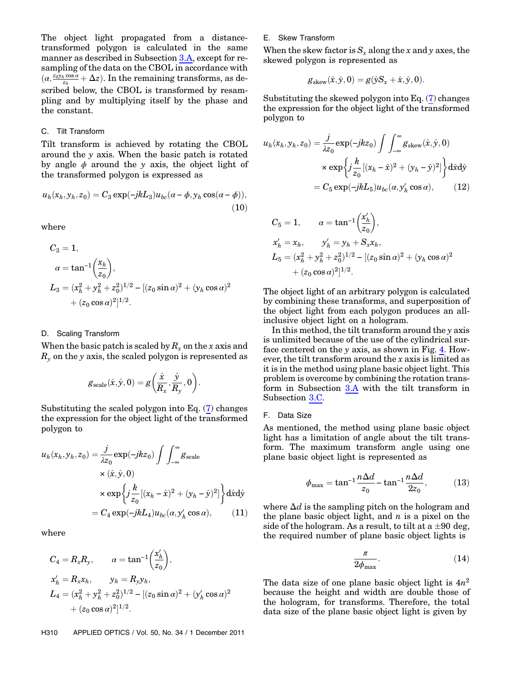The object light propagated from a distancetransformed polygon is calculated in the same manner as described in Subsection [3.A,](#page-4-2) except for resampling of the data on the CBOL in accordance with  $(\alpha, \frac{z_0 \bar{y}_h \cos \alpha}{z_0} + \Delta z)$ . In the remaining transforms, as described below, the CBOL is transformed by resampling and by multiplying itself by the phase and the constant.

#### <span id="page-5-2"></span>C. Tilt Transform

Tilt transform is achieved by rotating the CBOL around the y axis. When the basic patch is rotated by angle  $\phi$  around the y axis, the object light of the transformed polygon is expressed as

$$
u_h(x_h, y_h, z_0) = C_3 \exp(-j k L_3) u_{bc} (\alpha - \phi, y_h \cos(\alpha - \phi)),
$$
\n(10)

where

$$
C_3 = 1,
$$
  
\n
$$
\alpha = \tan^{-1} \left( \frac{x_h}{z_0} \right),
$$
  
\n
$$
L_3 = (x_h^2 + y_h^2 + z_0^2)^{1/2} - [(z_0 \sin \alpha)^2 + (y_h \cos \alpha)^2
$$
  
\n
$$
+ (z_0 \cos \alpha)^2]^{1/2}.
$$

## D. Scaling Transform

When the basic patch is scaled by  $R_x$  on the x axis and  $R<sub>v</sub>$  on the y axis, the scaled polygon is represented as

$$
g_{\text{scale}}(\hat{x}, \hat{y}, 0) = g\left(\frac{\hat{x}}{R_x}, \frac{\hat{y}}{R_y}, 0\right).
$$

Substituting the scaled polygon into Eq. [\(7\)](#page-4-1) changes the expression for the object light of the transformed polygon to

$$
u_h(x_h, y_h, z_0) = \frac{j}{\lambda z_0} \exp(-jkz_0) \int \int_{-\infty}^{\infty} g_{scale}
$$
  
×  $(\hat{x}, \hat{y}, 0)$   
×  $\exp\left\{ j\frac{k}{z_0} [(x_h - \hat{x})^2 + (y_h - \hat{y})^2] \right\} d\hat{x} d\hat{y}$   
=  $C_4 \exp(-jkL_4) u_{bc}(\alpha, y_h' \cos \alpha),$  (11)

where

$$
C_4 = R_x R_y, \qquad \alpha = \tan^{-1} \left( \frac{x'_h}{z_0} \right),
$$
  
\n
$$
x'_h = R_x x_h, \qquad y_h = R_y y_h,
$$
  
\n
$$
L_4 = (x_h^2 + y_h^2 + z_0^2)^{1/2} - [(z_0 \sin \alpha)^2 + (y'_h \cos \alpha)^2 + (z_0 \cos \alpha)^2]^{1/2}.
$$

#### <span id="page-5-1"></span>E. Skew Transform

When the skew factor is  $S_x$  along the x and y axes, the skewed polygon is represented as

$$
g_{\text{skew}}(\hat{x}, \hat{y}, 0) = g(\hat{y}S_x + \hat{x}, \hat{y}, 0).
$$

Substituting the skewed polygon into Eq. [\(7\)](#page-4-1) changes the expression for the object light of the transformed polygon to

$$
u_h(x_h, y_h, z_0) = \frac{j}{\lambda z_0} \exp(-jkz_0) \int \int_{-\infty}^{\infty} g_{\text{skew}}(\hat{x}, \hat{y}, 0)
$$

$$
\times \exp\left\{ j\frac{k}{z_0} [(x_h - \hat{x})^2 + (y_h - \hat{y})^2] \right\} d\hat{x} d\hat{y}
$$

$$
= C_5 \exp(-jkz_5) u_{bc}(\alpha, y_h' \cos \alpha), \qquad (12)
$$

$$
C_5 = 1, \qquad \alpha = \tan^{-1}\left(\frac{x'_h}{z_0}\right),
$$
  
\n
$$
x'_h = x_h, \qquad y'_h = y_h + S_x x_h,
$$
  
\n
$$
L_5 = (x_h^2 + y_h^2 + z_0^2)^{1/2} - [(z_0 \sin \alpha)^2 + (y_h \cos \alpha)^2 + (z_0 \cos \alpha)^2]^{1/2}.
$$

The object light of an arbitrary polygon is calculated by combining these transforms, and superposition of the object light from each polygon produces an allinclusive object light on a hologram.

In this method, the tilt transform around the  $y$  axis is unlimited because of the use of the cylindrical surface centered on the y axis, as shown in Fig. [4](#page-4-0). However, the tilt transform around the x axis is limited as it is in the method using plane basic object light. This problem is overcome by combining the rotation transform in Subsection [3.A](#page-4-2) with the tilt transform in Subsection [3.C.](#page-5-2)

#### <span id="page-5-0"></span>F. Data Size

As mentioned, the method using plane basic object light has a limitation of angle about the tilt transform. The maximum transform angle using one plane basic object light is represented as

$$
\phi_{\text{max}} = \tan^{-1} \frac{n \Delta d}{z_0} - \tan^{-1} \frac{n \Delta d}{2z_0},
$$
\n(13)

where  $\Delta d$  is the sampling pitch on the hologram and the plane basic object light, and  $n$  is a pixel on the side of the hologram. As a result, to tilt at a  $\pm 90$  deg, the required number of plane basic object lights is

$$
\frac{\pi}{2\phi_{\max}}.\eqno(14)
$$

<span id="page-5-3"></span>The data size of one plane basic object light is  $4n^2$ because the height and width are double those of the hologram, for transforms. Therefore, the total data size of the plane basic object light is given by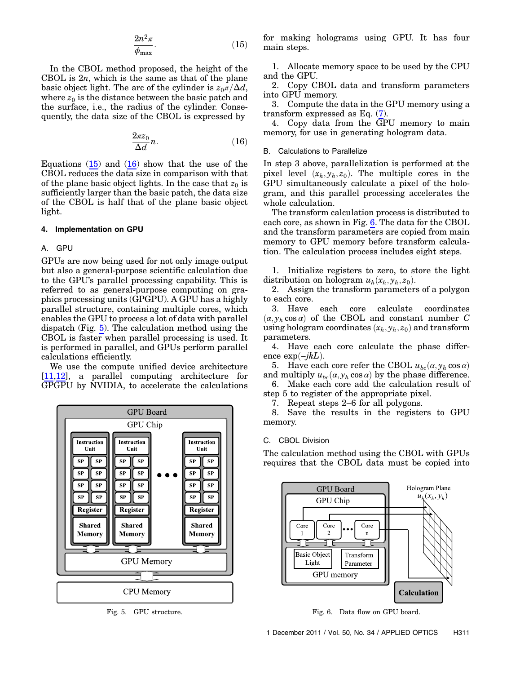$$
\frac{2n^2\pi}{\phi_{\max}}.\tag{15}
$$

<span id="page-6-0"></span>In the CBOL method proposed, the height of the CBOL is  $2n$ , which is the same as that of the plane basic object light. The arc of the cylinder is  $z_0\pi/\Delta d$ , where  $z_0$  is the distance between the basic patch and the surface, i.e., the radius of the cylinder. Consequently, the data size of the CBOL is expressed by

$$
\frac{2\pi z_0}{\Delta d}n.\t(16)
$$

Equations  $(15)$  $(15)$  and  $(16)$  $(16)$  show that the use of the CBOL reduces the data size in comparison with that of the plane basic object lights. In the case that  $z_0$  is sufficiently larger than the basic patch, the data size of the CBOL is half that of the plane basic object light.

## 4. Implementation on GPU

## A. GPU

GPUs are now being used for not only image output but also a general-purpose scientific calculation due to the GPU's parallel processing capability. This is referred to as general-purpose computing on graphics processing units (GPGPU). A GPU has a highly parallel structure, containing multiple cores, which enables the GPU to process a lot of data with parallel dispatch (Fig. [5\)](#page-6-1). The calculation method using the CBOL is faster when parallel processing is used. It is performed in parallel, and GPUs perform parallel calculations efficiently.

We use the compute unified device architecture [\[11](#page-9-8)[,12](#page-9-9)], a parallel computing architecture for GPGPU by NVIDIA, to accelerate the calculations

<span id="page-6-1"></span>

for making holograms using GPU. It has four main steps.

1. Allocate memory space to be used by the CPU and the GPU.

2. Copy CBOL data and transform parameters into GPU memory.

3. Compute the data in the GPU memory using a transform expressed as Eq. [\(7\)](#page-4-1).

4. Copy data from the GPU memory to main memory, for use in generating hologram data.

# <span id="page-6-3"></span>B. Calculations to Parallelize

In step 3 above, parallelization is performed at the pixel level  $(x_h, y_h, z_0)$ . The multiple cores in the GPU simultaneously calculate a pixel of the hologram, and this parallel processing accelerates the whole calculation.

The transform calculation process is distributed to each core, as shown in Fig. [6.](#page-6-2) The data for the CBOL and the transform parameters are copied from main memory to GPU memory before transform calculation. The calculation process includes eight steps.

1. Initialize registers to zero, to store the light distribution on hologram  $u_h(x_h, y_h, z_0)$ .

2. Assign the transform parameters of a polygon to each core.

3. Have each core calculate coordinates  $(\alpha, y_h \cos \alpha)$  of the CBOL and constant number C using hologram coordinates  $(x_h, y_h, z_0)$  and transform parameters.

4. Have each core calculate the phase difference exp $(-jkL)$ .

5. Have each core refer the CBOL  $u_{bc}(\alpha, y_h \cos \alpha)$ and multiply  $u_{bc}(\alpha, y_h \cos \alpha)$  by the phase difference.

6. Make each core add the calculation result of step 5 to register of the appropriate pixel.

7. Repeat steps 2–6 for all polygons.

8. Save the results in the registers to GPU memory.

## C. CBOL Division

The calculation method using the CBOL with GPUs requires that the CBOL data must be copied into

<span id="page-6-2"></span>

Fig. 5. GPU structure. Fig. 6. Data flow on GPU board.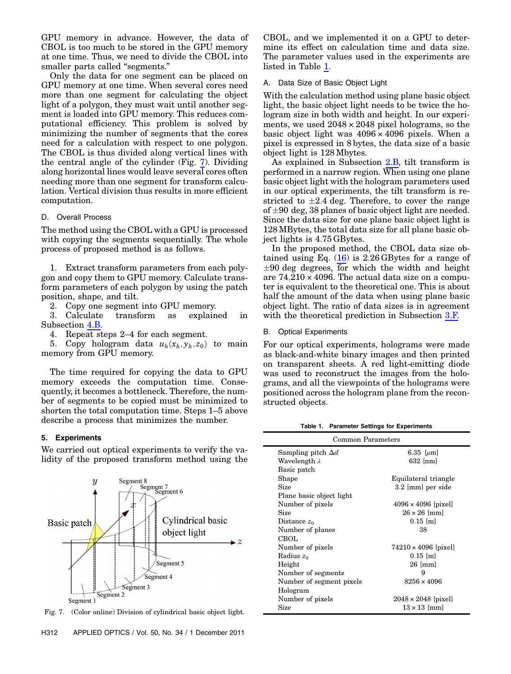GPU memory in advance. However, the data of CBOL is too much to be stored in the GPU memory at one time. Thus, we need to divide the CBOL into smaller parts called "segments."

Only the data for one segment can be placed on GPU memory at one time. When several cores need more than one segment for calculating the object light of a polygon, they must wait until another segment is loaded into GPU memory. This reduces computational efficiency. This problem is solved by minimizing the number of segments that the cores need for a calculation with respect to one polygon. The CBOL is thus divided along vertical lines with the central angle of the cylinder (Fig. [7](#page-7-0)). Dividing along horizontal lines would leave several cores often needing more than one segment for transform calculation. Vertical division thus results in more efficient computation.

## D. Overall Process

The method using the CBOL with a GPU is processed with copying the segments sequentially. The whole process of proposed method is as follows.

1. Extract transform parameters from each polygon and copy them to GPU memory. Calculate transform parameters of each polygon by using the patch position, shape, and tilt.

2. Copy one segment into GPU memory.<br>3. Calculate transform as explain

transform as explained in Subsection [4.B.](#page-6-3)

4. Repeat steps 2–4 for each segment.

5. Copy hologram data  $u_h(x_h, y_h, z_0)$  to main memory from GPU memory.

The time required for copying the data to GPU memory exceeds the computation time. Consequently, it becomes a bottleneck. Therefore, the number of segments to be copied must be minimized to shorten the total computation time. Steps 1–5 above describe a process that minimizes the number.

## 5. Experiments

We carried out optical experiments to verify the validity of the proposed transform method using the

<span id="page-7-0"></span>

Fig. 7. (Color online) Division of cylindrical basic object light.

CBOL, and we implemented it on a GPU to determine its effect on calculation time and data size. The parameter values used in the experiments are listed in Table [1.](#page-7-1)

## A. Data Size of Basic Object Light

With the calculation method using plane basic object light, the basic object light needs to be twice the hologram size in both width and height. In our experiments, we used  $2048 \times 2048$  pixel holograms, so the basic object light was  $4096 \times 4096$  pixels. When a pixel is expressed in 8 bytes, the data size of a basic object light is 128 Mbytes.

As explained in Subsection [2.B,](#page-2-3) tilt transform is performed in a narrow region. When using one plane basic object light with the hologram parameters used in our optical experiments, the tilt transform is restricted to  $\pm 2.4$  deg. Therefore, to cover the range of  $\pm 90$  deg, 38 planes of basic object light are needed. Since the data size for one plane basic object light is 128 MBytes, the total data size for all plane basic object lights is 4:75 GBytes.

In the proposed method, the CBOL data size obtained using Eq.  $(16)$  $(16)$  is 2.26 GBytes for a range of  $\pm 90$  deg degrees, for which the width and height are  $74,210 \times 4096$ . The actual data size on a computer is equivalent to the theoretical one. This is about half the amount of the data when using plane basic object light. The ratio of data sizes is in agreement with the theoretical prediction in Subsection [3.F.](#page-5-0)

#### B. Optical Experiments

For our optical experiments, holograms were made as black-and-white binary images and then printed on transparent sheets. A red light-emitting diode was used to reconstruct the images from the holograms, and all the viewpoints of the holograms were positioned across the hologram plane from the reconstructed objects.

Table 1. Parameter Settings for Experiments

<span id="page-7-1"></span>

| Common Parameters         |                             |  |
|---------------------------|-----------------------------|--|
| Sampling pitch $\Delta d$ | 6.35 [ $\mu$ m]             |  |
| Wavelength λ              | $632$ [nm]                  |  |
| Basic patch               |                             |  |
| Shape                     | Equilateral triangle        |  |
| <b>Size</b>               | 3.2 [mm] per side           |  |
| Plane basic object light  |                             |  |
| Number of pixels          | $4096 \times 4096$ [pixel]  |  |
| Size                      | $26 \times 26$ [mm]         |  |
| Distance $z_0$            | $0.15$ [m]                  |  |
| Number of planes          | 38                          |  |
| CBOL                      |                             |  |
| Number of pixels          | $74210 \times 4096$ [pixel] |  |
| Radius $z_0$              | $0.15$ [m]                  |  |
| Height                    | $26 \text{ [mm]}$           |  |
| Number of segments        | 9                           |  |
| Number of segment pixels  | $8256 \times 4096$          |  |
| Hologram                  |                             |  |
| Number of pixels          | $2048 \times 2048$ [pixel]  |  |
| Size                      | $13 \times 13$ [mm]         |  |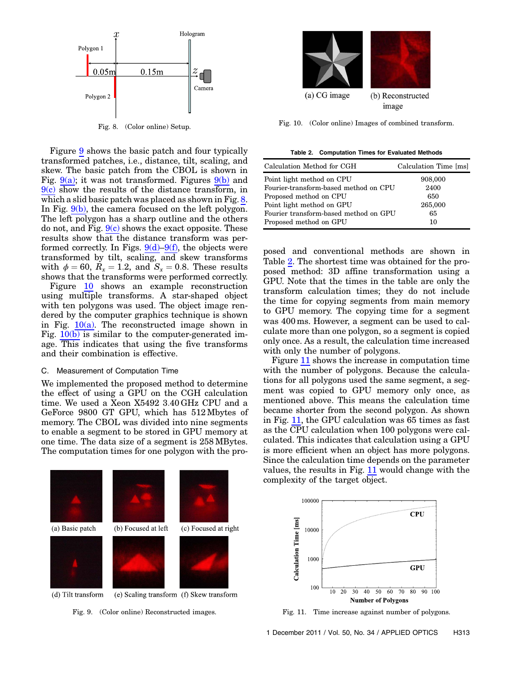<span id="page-8-2"></span>

Fig. 8. (Color online) Setup.

Figure [9](#page-8-0) shows the basic patch and four typically transformed patches, i.e., distance, tilt, scaling, and skew. The basic patch from the CBOL is shown in Fig.  $9(a)$ ; it was not transformed. Figures  $9(b)$  and  $9(c)$  show the results of the distance transform, in which a slid basic patch was placed as shown in Fig. [8](#page-8-2). In Fig. [9\(b\),](#page-8-1) the camera focused on the left polygon. The left polygon has a sharp outline and the others do not, and Fig.  $9(c)$  shows the exact opposite. These results show that the distance transform was performed correctly. In Figs.  $9(d)-9(f)$  $9(d)-9(f)$  $9(d)-9(f)$ , the objects were transformed by tilt, scaling, and skew transforms with  $\phi = 60$ ,  $R_x = 1.2$ , and  $S_x = 0.8$ . These results shows that the transforms were performed correctly.

Figure [10](#page-8-3) shows an example reconstruction using multiple transforms. A star-shaped object with ten polygons was used. The object image rendered by the computer graphics technique is shown in Fig.  $10(a)$ . The reconstructed image shown in Fig.  $10(b)$  is similar to the computer-generated image. This indicates that using the five transforms and their combination is effective.

## C. Measurement of Computation Time

We implemented the proposed method to determine the effect of using a GPU on the CGH calculation time. We used a Xeon X5492 3:40 GHz CPU and a GeForce 9800 GT GPU, which has 512 Mbytes of memory. The CBOL was divided into nine segments to enable a segment to be stored in GPU memory at one time. The data size of a segment is 258 MBytes. The computation times for one polygon with the pro-

<span id="page-8-3"></span>

Fig. 10. (Color online) Images of combined transform.

<span id="page-8-4"></span>Table 2. Computation Times for Evaluated Methods

<span id="page-8-5"></span>

| Calculation Method for CGH            | Calculation Time [ms] |
|---------------------------------------|-----------------------|
| Point light method on CPU             | 908,000               |
| Fourier-transform-based method on CPU | 2400                  |
| Proposed method on CPU                | 650                   |
| Point light method on GPU             | 265,000               |
| Fourier transform-based method on GPU | 65                    |
| Proposed method on GPU                | 10                    |

posed and conventional methods are shown in Table [2.](#page-8-5) The shortest time was obtained for the proposed method: 3D affine transformation using a GPU. Note that the times in the table are only the transform calculation times; they do not include the time for copying segments from main memory to GPU memory. The copying time for a segment was 400 ms. However, a segment can be used to calculate more than one polygon, so a segment is copied only once. As a result, the calculation time increased with only the number of polygons.

Figure [11](#page-8-6) shows the increase in computation time with the number of polygons. Because the calculations for all polygons used the same segment, a segment was copied to GPU memory only once, as mentioned above. This means the calculation time became shorter from the second polygon. As shown in Fig. [11,](#page-8-6) the GPU calculation was 65 times as fast as the CPU calculation when 100 polygons were calculated. This indicates that calculation using a GPU is more efficient when an object has more polygons. Since the calculation time depends on the parameter values, the results in Fig. [11](#page-8-6) would change with the complexity of the target object.

<span id="page-8-0"></span>

<span id="page-8-1"></span>(e) Scaling transform (f) Skew transform

Fig. 9. (Color online) Reconstructed images.

<span id="page-8-6"></span>

Fig. 11. Time increase against number of polygons.